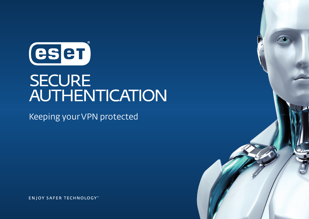

# **SECURE** AUTHENTICATION

Keeping your VPN protected

**ENJOY SAFER TECHNOLOGY**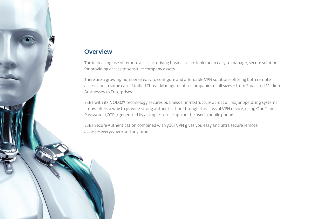## **Overview**

The increasing use of remote access is driving businesses to look for an easy to manage, secure solution for providing access to sensitive company assets.

There are a growing number of easy to configure and affordable VPN solutions offering both remote access and in some cases Unified Threat Management to companies of all sizes – from Small and Medium Businesses to Enterprises.

ESET with its NOD32® technology secures business IT infrastructure across all major operating systems. It now offers a way to provide strong authentication through this class of VPN device, using One Time Passwords (OTPs) generated by a simple-to-use app on the user's mobile phone.

ESET Secure Authentication combined with your VPN gives you easy and ultra secure remote access – everywhere and any time.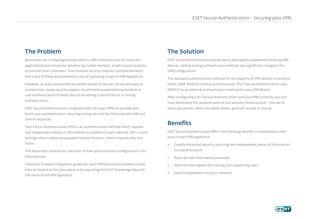## The Problem

Businesses are increasingly being asked to offer remote access to corporate applications and resources, whether by mobile workers, small branch locations or partners and customers. True network security requires multiple elements and many of these are provided via any of a growing range of VPN appliances.

However, as static passwords are widely known to be non-secure and easy to compromise, many security experts recommend supplementing the built-in user authentication of these devices by adding a second factor or strong authentication.

ESET Secure Authentication integrates with all major VPNs to provide twofactor user authentication, ensuring strong security for the corporate LAN and central resources.

Two-Factor Authentication (2FA) is an authentication method which requires two independent pieces of information to establish a user's identity. 2FA is much stronger than traditional password authen-tication, which requires only one factor.

This document presents an overview of how quick and easy configuration is for these devices.

Individual in-depth integration guides for each VPN device are available via the links at the end of this document or by searching the ESET Knowledge Base for the name of the VPN appliance.

# The Solution

ESET Secure Authentication can be easily deployed to supplement existing VPN devices, adding strong authentication without any significant change to the VPN configuration.

The standard authentication method for the majority of VPN devices is based on either LDAP, RADIUS or local authentication. ESET Secure Authentication uses RADIUS as an external authentication method for your VPN device.

After configuring ESET Secure Authentication and your VPN correctly, you will have eliminated the weakest point of any security infrastructure – the use of static passwords, which are easily stolen, guessed, reused or shared.

## **Benefits**

ESET Secure Authentication offers the following benefits in combination with your chosen VPN appliance:

- Greatly enhanced security requiring two independent pieces of information for authentication
- Reduced risks from weak passwords
- Minimal time needed for training and supporting users
- Easy to implement into your network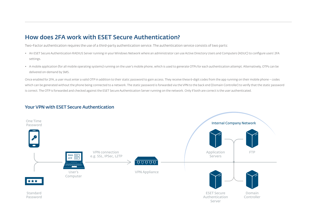## How does 2FA work with ESET Secure Authentication?

Two-Factor authentication requires the use of a third-party authentication service. The authentication service consists of two parts:

- An ESET Secure Authentication RADIUS Server running in your Windows Network where an administrator can use Active Directory Users and Computers (ADUC) to configure users' 2FA settings.
- A mobile application (for all mobile operating systems) running on the user's mobile phone, which is used to generate OTPs for each authentication attempt. Alternatively, OTPs can be delivered on-demand by SMS.

Once enabled for 2FA, a user must enter a valid OTP in addition to their static password to gain access. They receive these 6-digit codes from the app running on their mobile phone - codes which can be generated without the phone being connected to a network. The static password is forwarded via the VPN to the back end (Domain Controller) to verify that the static password is correct. The OTP is forwarded and checked against the ESET Secure Authentication Server running on the network. Only if both are correct is the user authenticated.



#### Your VPN with ESET Secure Authentication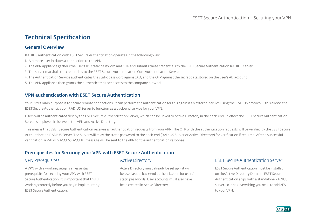## Technical Specification

#### General Overview

RADIUS authentication with ESET Secure Authentication operates in the following way:

- 1. A remote user initiates a connection to the VPN
- 2. The VPN appliance gathers the user's ID, static password and OTP and submits these credentials to the ESET Secure Authentication RADIUS server
- 3. The server marshals the credentials to the ESET Secure Authentication Core Authentication Service
- 4. The Authentication Service authenticates the static password against AD, and the OTP against the secret data stored on the user's AD account
- 5. The VPN appliance then grants the authenticated user access to the company network

### VPN authentication with ESET Secure Authentication

Your VPN's main purpose is to secure remote connections. It can perform the authentication for this against an external service using the RADIUS protocol – this allows the ESET Secure Authentication RADIUS Server to function as a back-end service for your VPN.

Users will be authenticated first by the ESET Secure Authentication Server, which can be linked to Active Directory in the back-end. In effect the ESET Secure Authentication Server is deployed in between the VPN and Active Directory.

This means that ESET Secure Authentication receives all authentication requests from your VPN. The OTP with the authentication requests will be verified by the ESET Secure Authentication RADIUS Server. The Server will relay the static password to the back-end (RADIUS Server or Active Directory) for verification if required. After a successful verification, a RADIUS ACCESS-ACCEPT message will be sent to the VPN for the authentication response.

## Prerequisites for Securing your VPN with ESET Secure Authentication

#### VPN Prerequisites

A VPN with a working setup is an essential prerequisite for securing your VPN with ESET Secure Authentication. It is important that this is working correctly before you begin implementing ESET Secure Authentication.

#### Active Directory

Active Directory must already be set up – it will be used as the back-end authentication for users' static passwords. User accounts must also have been created in Active Directory.

### ESET Secure Authentication Server

ESET Secure Authentication must be installed on the Active Directory Domain. ESET Secure Authentication ships with a standalone RADIUS server, so it has everything you need to add 2FA to your VPN.